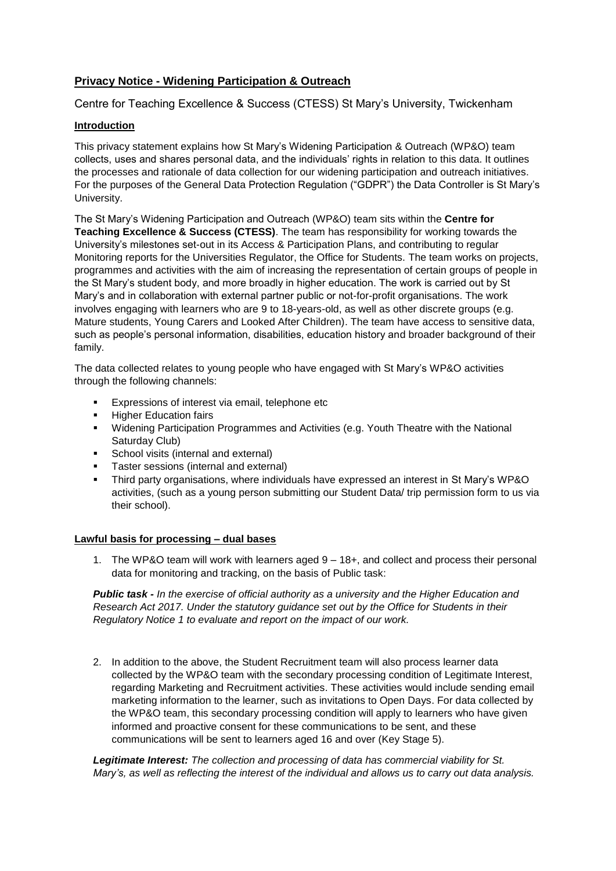# **Privacy Notice - Widening Participation & Outreach**

Centre for Teaching Excellence & Success (CTESS) St Mary's University, Twickenham

## **Introduction**

This privacy statement explains how St Mary's Widening Participation & Outreach (WP&O) team collects, uses and shares personal data, and the individuals' rights in relation to this data. It outlines the processes and rationale of data collection for our widening participation and outreach initiatives. For the purposes of the General Data Protection Regulation ("GDPR") the Data Controller is St Mary's University.

The St Mary's Widening Participation and Outreach (WP&O) team sits within the **Centre for Teaching Excellence & Success (CTESS)**. The team has responsibility for working towards the University's milestones set-out in its Access & Participation Plans, and contributing to regular Monitoring reports for the Universities Regulator, the Office for Students. The team works on projects, programmes and activities with the aim of increasing the representation of certain groups of people in the St Mary's student body, and more broadly in higher education. The work is carried out by St Mary's and in collaboration with external partner public or not-for-profit organisations. The work involves engaging with learners who are 9 to 18-years-old, as well as other discrete groups (e.g. Mature students, Young Carers and Looked After Children). The team have access to sensitive data, such as people's personal information, disabilities, education history and broader background of their family.

The data collected relates to young people who have engaged with St Mary's WP&O activities through the following channels:

- Expressions of interest via email, telephone etc
- **EXECUTE:** Higher Education fairs
- Widening Participation Programmes and Activities (e.g. Youth Theatre with the National Saturday Club)
- **•** School visits (internal and external)
- Taster sessions (internal and external)
- Third party organisations, where individuals have expressed an interest in St Mary's WP&O activities, (such as a young person submitting our Student Data/ trip permission form to us via their school).

## **Lawful basis for processing – dual bases**

1. The WP&O team will work with learners aged 9 – 18+, and collect and process their personal data for monitoring and tracking, on the basis of Public task:

*Public task - In the exercise of official authority as a university and the Higher Education and Research Act 2017. Under the statutory guidance set out by the Office for Students in their Regulatory Notice 1 to evaluate and report on the impact of our work.*

2. In addition to the above, the Student Recruitment team will also process learner data collected by the WP&O team with the secondary processing condition of Legitimate Interest, regarding Marketing and Recruitment activities. These activities would include sending email marketing information to the learner, such as invitations to Open Days. For data collected by the WP&O team, this secondary processing condition will apply to learners who have given informed and proactive consent for these communications to be sent, and these communications will be sent to learners aged 16 and over (Key Stage 5).

*Legitimate Interest: The collection and processing of data has commercial viability for St. Mary's, as well as reflecting the interest of the individual and allows us to carry out data analysis.*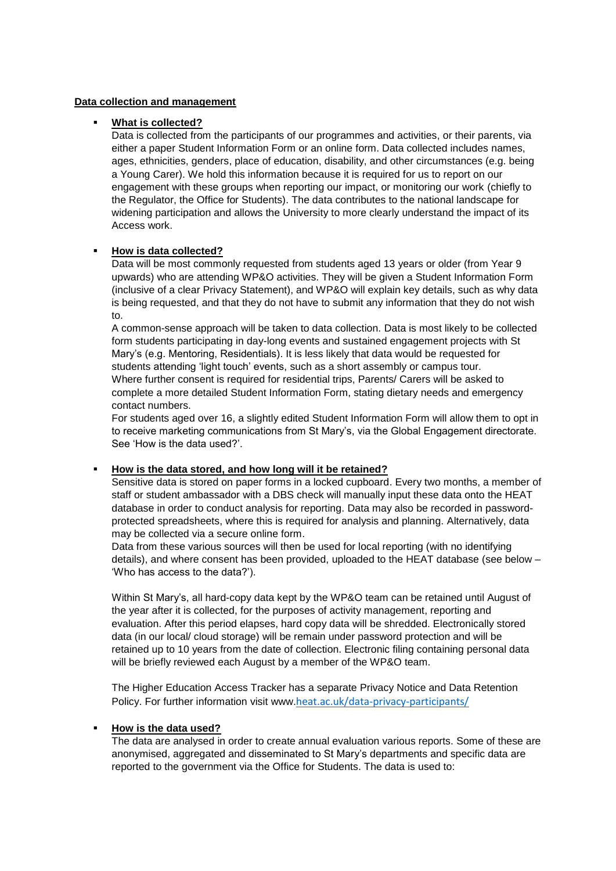## **Data collection and management**

## What is collected?

Data is collected from the participants of our programmes and activities, or their parents, via either a paper Student Information Form or an online form. Data collected includes names, ages, ethnicities, genders, place of education, disability, and other circumstances (e.g. being a Young Carer). We hold this information because it is required for us to report on our engagement with these groups when reporting our impact, or monitoring our work (chiefly to the Regulator, the Office for Students). The data contributes to the national landscape for widening participation and allows the University to more clearly understand the impact of its Access work.

## ▪ **How is data collected?**

Data will be most commonly requested from students aged 13 years or older (from Year 9 upwards) who are attending WP&O activities. They will be given a Student Information Form (inclusive of a clear Privacy Statement), and WP&O will explain key details, such as why data is being requested, and that they do not have to submit any information that they do not wish to.

A common-sense approach will be taken to data collection. Data is most likely to be collected form students participating in day-long events and sustained engagement projects with St Mary's (e.g. Mentoring, Residentials). It is less likely that data would be requested for students attending 'light touch' events, such as a short assembly or campus tour. Where further consent is required for residential trips, Parents/ Carers will be asked to complete a more detailed Student Information Form, stating dietary needs and emergency contact numbers.

For students aged over 16, a slightly edited Student Information Form will allow them to opt in to receive marketing communications from St Mary's, via the Global Engagement directorate. See 'How is the data used?'.

#### ▪ **How is the data stored, and how long will it be retained?**

Sensitive data is stored on paper forms in a locked cupboard. Every two months, a member of staff or student ambassador with a DBS check will manually input these data onto the HEAT database in order to conduct analysis for reporting. Data may also be recorded in passwordprotected spreadsheets, where this is required for analysis and planning. Alternatively, data may be collected via a secure online form.

Data from these various sources will then be used for local reporting (with no identifying details), and where consent has been provided, uploaded to the HEAT database (see below – 'Who has access to the data?').

Within St Mary's, all hard-copy data kept by the WP&O team can be retained until August of the year after it is collected, for the purposes of activity management, reporting and evaluation. After this period elapses, hard copy data will be shredded. Electronically stored data (in our local/ cloud storage) will be remain under password protection and will be retained up to 10 years from the date of collection. Electronic filing containing personal data will be briefly reviewed each August by a member of the WP&O team.

The Higher Education Access Tracker has a separate Privacy Notice and Data Retention Policy. For further information visit www.[heat.ac.uk/data-privacy-participants/](https://heat.ac.uk/data-privacy-participants/)

#### ▪ **How is the data used?**

The data are analysed in order to create annual evaluation various reports. Some of these are anonymised, aggregated and disseminated to St Mary's departments and specific data are reported to the government via the Office for Students. The data is used to: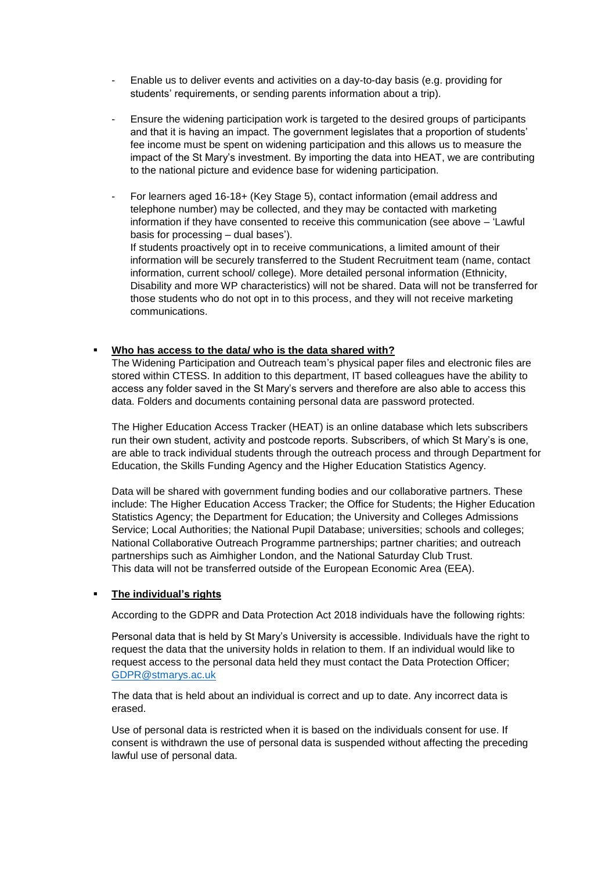- Enable us to deliver events and activities on a day-to-day basis (e.g. providing for students' requirements, or sending parents information about a trip).
- Ensure the widening participation work is targeted to the desired groups of participants and that it is having an impact. The government legislates that a proportion of students' fee income must be spent on widening participation and this allows us to measure the impact of the St Mary's investment. By importing the data into HEAT, we are contributing to the national picture and evidence base for widening participation.
- For learners aged 16-18+ (Key Stage 5), contact information (email address and telephone number) may be collected, and they may be contacted with marketing information if they have consented to receive this communication (see above – 'Lawful basis for processing – dual bases').

If students proactively opt in to receive communications, a limited amount of their information will be securely transferred to the Student Recruitment team (name, contact information, current school/ college). More detailed personal information (Ethnicity, Disability and more WP characteristics) will not be shared. Data will not be transferred for those students who do not opt in to this process, and they will not receive marketing communications.

## ▪ **Who has access to the data/ who is the data shared with?**

The Widening Participation and Outreach team's physical paper files and electronic files are stored within CTESS. In addition to this department, IT based colleagues have the ability to access any folder saved in the St Mary's servers and therefore are also able to access this data. Folders and documents containing personal data are password protected.

The Higher Education Access Tracker (HEAT) is an online database which lets subscribers run their own student, activity and postcode reports. Subscribers, of which St Mary's is one, are able to track individual students through the outreach process and through Department for Education, the Skills Funding Agency and the Higher Education Statistics Agency.

Data will be shared with government funding bodies and our collaborative partners. These include: The Higher Education Access Tracker; the Office for Students; the Higher Education Statistics Agency; the Department for Education; the University and Colleges Admissions Service; Local Authorities; the National Pupil Database; universities; schools and colleges; National Collaborative Outreach Programme partnerships; partner charities; and outreach partnerships such as Aimhigher London, and the National Saturday Club Trust. This data will not be transferred outside of the European Economic Area (EEA).

#### ▪ **The individual's rights**

According to the GDPR and Data Protection Act 2018 individuals have the following rights:

Personal data that is held by St Mary's University is accessible. Individuals have the right to request the data that the university holds in relation to them. If an individual would like to request access to the personal data held they must contact the Data Protection Officer; [GDPR@stmarys.ac.uk](mailto:GDPR@stmarys.ac.uk)

The data that is held about an individual is correct and up to date. Any incorrect data is erased.

Use of personal data is restricted when it is based on the individuals consent for use. If consent is withdrawn the use of personal data is suspended without affecting the preceding lawful use of personal data.